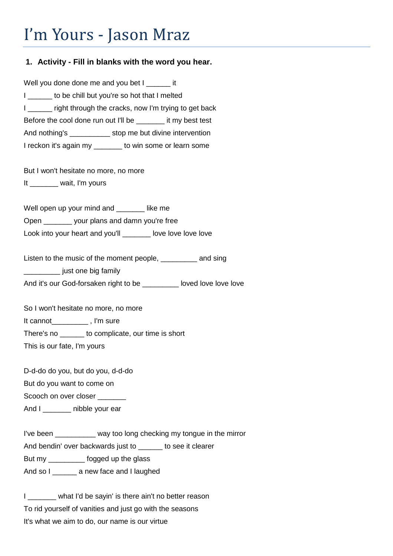## I'm Yours - Jason Mraz

## **1. Activity - Fill in blanks with the word you hear.**

Well you done done me and you bet I \_\_\_\_\_\_ it I compute to be chill but you're so hot that I melted I \_\_\_\_\_ right through the cracks, now I'm trying to get back Before the cool done run out I'll be \_\_\_\_\_\_\_ it my best test And nothing's \_\_\_\_\_\_\_\_\_\_\_\_ stop me but divine intervention I reckon it's again my \_\_\_\_\_\_\_ to win some or learn some

But I won't hesitate no more, no more

It \_\_\_\_\_\_\_ wait, I'm yours

Well open up your mind and **like me** 

Open vour plans and damn you're free

Look into your heart and you'll love love love love love

Listen to the music of the moment people, \_\_\_\_\_\_\_\_\_ and sing **with the sum of the sum is a set one big family** And it's our God-forsaken right to be \_\_\_\_\_\_\_\_\_ loved love love love

So I won't hesitate no more, no more

It cannot\_\_\_\_\_\_\_\_\_ , I'm sure

There's no \_\_\_\_\_\_ to complicate, our time is short

This is our fate, I'm yours

D-d-do do you, but do you, d-d-do

But do you want to come on

Scooch on over closer

And I cour ear

I've been \_\_\_\_\_\_\_\_\_\_ way too long checking my tongue in the mirror

And bendin' over backwards just to \_\_\_\_\_\_ to see it clearer

But my **but** fogged up the glass

And so I \_\_\_\_\_\_\_ a new face and I laughed

I what I'd be sayin' is there ain't no better reason To rid yourself of vanities and just go with the seasons

It's what we aim to do, our name is our virtue